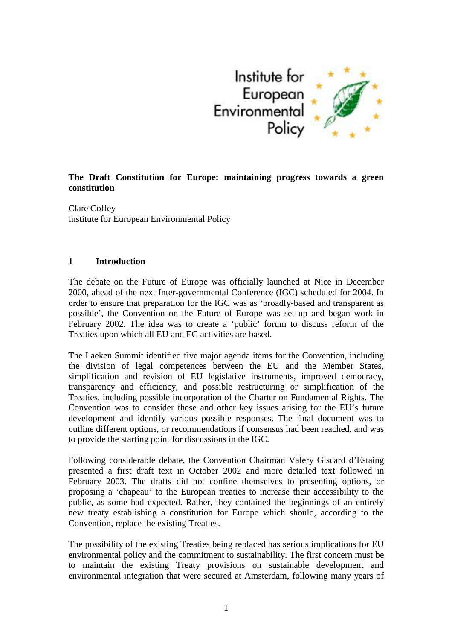

## **The Draft Constitution for Europe: maintaining progress towards a green constitution**

Clare Coffey Institute for European Environmental Policy

#### **1 Introduction**

The debate on the Future of Europe was officially launched at Nice in December 2000, ahead of the next Inter-governmental Conference (IGC) scheduled for 2004. In order to ensure that preparation for the IGC was as 'broadly-based and transparent as possible', the Convention on the Future of Europe was set up and began work in February 2002. The idea was to create a 'public' forum to discuss reform of the Treaties upon which all EU and EC activities are based.

The Laeken Summit identified five major agenda items for the Convention, including the division of legal competences between the EU and the Member States, simplification and revision of EU legislative instruments, improved democracy, transparency and efficiency, and possible restructuring or simplification of the Treaties, including possible incorporation of the Charter on Fundamental Rights. The Convention was to consider these and other key issues arising for the EU's future development and identify various possible responses. The final document was to outline different options, or recommendations if consensus had been reached, and was to provide the starting point for discussions in the IGC.

Following considerable debate, the Convention Chairman Valery Giscard d'Estaing presented a first draft text in October 2002 and more detailed text followed in February 2003. The drafts did not confine themselves to presenting options, or proposing a 'chapeau' to the European treaties to increase their accessibility to the public, as some had expected. Rather, they contained the beginnings of an entirely new treaty establishing a constitution for Europe which should, according to the Convention, replace the existing Treaties.

The possibility of the existing Treaties being replaced has serious implications for EU environmental policy and the commitment to sustainability. The first concern must be to maintain the existing Treaty provisions on sustainable development and environmental integration that were secured at Amsterdam, following many years of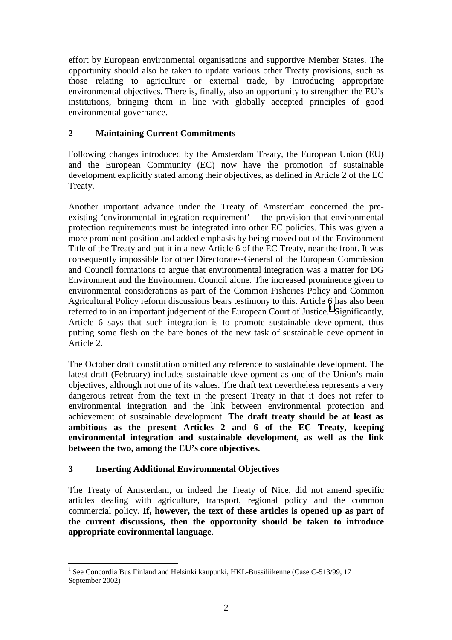effort by European environmental organisations and supportive Member States. The opportunity should also be taken to update various other Treaty provisions, such as those relating to agriculture or external trade, by introducing appropriate environmental objectives. There is, finally, also an opportunity to strengthen the EU's institutions, bringing them in line with globally accepted principles of good environmental governance.

## **2 Maintaining Current Commitments**

Following changes introduced by the Amsterdam Treaty, the European Union (EU) and the European Community (EC) now have the promotion of sustainable development explicitly stated among their objectives, as defined in Article 2 of the EC Treaty.

Another important advance under the Treaty of Amsterdam concerned the preexisting 'environmental integration requirement' – the provision that environmental protection requirements must be integrated into other EC policies. This was given a more prominent position and added emphasis by being moved out of the Environment Title of the Treaty and put it in a new Article 6 of the EC Treaty, near the front. It was consequently impossible for other Directorates-General of the European Commission and Council formations to argue that environmental integration was a matter for DG Environment and the Environment Council alone. The increased prominence given to environmental considerations as part of the Common Fisheries Policy and Common Agricultural Policy reform discussions bears testimony to this. Article 6 has also been referred to in an important judgement of the European Court of Justice.<sup>1</sup> Significantly, Article 6 says that such integration is to promote sustainable development, thus putting some flesh on the bare bones of the new task of sustainable development in Article 2.

The October draft constitution omitted any reference to sustainable development. The latest draft (February) includes sustainable development as one of the Union's main objectives, although not one of its values. The draft text nevertheless represents a very dangerous retreat from the text in the present Treaty in that it does not refer to environmental integration and the link between environmental protection and achievement of sustainable development. **The draft treaty should be at least as ambitious as the present Articles 2 and 6 of the EC Treaty, keeping environmental integration and sustainable development, as well as the link between the two, among the EU's core objectives.** 

## **3 Inserting Additional Environmental Objectives**

 $\overline{a}$ 

The Treaty of Amsterdam, or indeed the Treaty of Nice, did not amend specific articles dealing with agriculture, transport, regional policy and the common commercial policy. **If, however, the text of these articles is opened up as part of the current discussions, then the opportunity should be taken to introduce appropriate environmental language**.

<sup>&</sup>lt;sup>1</sup> See Concordia Bus Finland and Helsinki kaupunki, HKL-Bussiliikenne (Case C-513/99, 17 September 2002)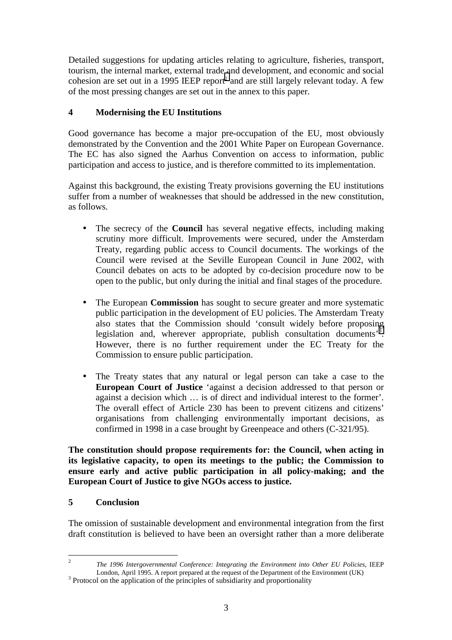Detailed suggestions for updating articles relating to agriculture, fisheries, transport, tourism, the internal market, external trade and development, and economic and social cohesion are set out in a 1995 IEEP report<sup>2</sup> and are still largely relevant today. A few of the most pressing changes are set out in the annex to this paper.

# **4 Modernising the EU Institutions**

Good governance has become a major pre-occupation of the EU, most obviously demonstrated by the Convention and the 2001 White Paper on European Governance. The EC has also signed the Aarhus Convention on access to information, public participation and access to justice, and is therefore committed to its implementation.

Against this background, the existing Treaty provisions governing the EU institutions suffer from a number of weaknesses that should be addressed in the new constitution, as follows.

- The secrecy of the **Council** has several negative effects, including making scrutiny more difficult. Improvements were secured, under the Amsterdam Treaty, regarding public access to Council documents. The workings of the Council were revised at the Seville European Council in June 2002, with Council debates on acts to be adopted by co-decision procedure now to be open to the public, but only during the initial and final stages of the procedure.
- The European **Commission** has sought to secure greater and more systematic public participation in the development of EU policies. The Amsterdam Treaty also states that the Commission should 'consult widely before proposing legislation and, wherever appropriate, publish consultation documents<sup>3</sup>. However, there is no further requirement under the EC Treaty for the Commission to ensure public participation.
- The Treaty states that any natural or legal person can take a case to the **European Court of Justice** 'against a decision addressed to that person or against a decision which … is of direct and individual interest to the former'. The overall effect of Article 230 has been to prevent citizens and citizens' organisations from challenging environmentally important decisions, as confirmed in 1998 in a case brought by Greenpeace and others (C-321/95).

**The constitution should propose requirements for: the Council, when acting in its legislative capacity, to open its meetings to the public; the Commission to ensure early and active public participation in all policy-making; and the European Court of Justice to give NGOs access to justice.** 

## **5 Conclusion**

The omission of sustainable development and environmental integration from the first draft constitution is believed to have been an oversight rather than a more deliberate

 $\frac{1}{2}$  *The 1996 Intergovernmental Conference: Integrating the Environment into Other EU Policies*, IEEP London, April 1995. A report prepared at the request of the Department of the Environment (UK)  $3$  Protocol on the application of the principles of subsidiarity and proportionality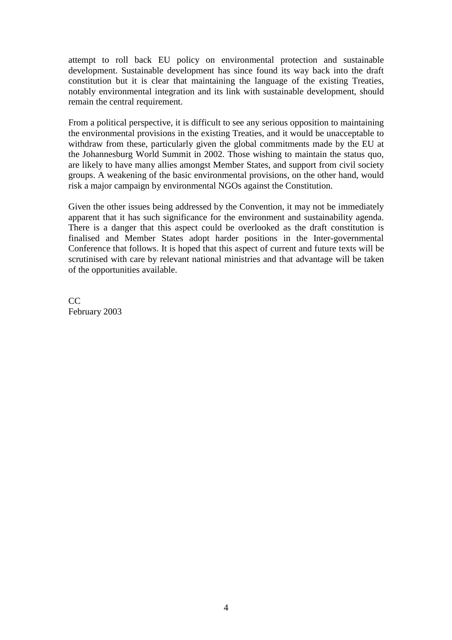attempt to roll back EU policy on environmental protection and sustainable development. Sustainable development has since found its way back into the draft constitution but it is clear that maintaining the language of the existing Treaties, notably environmental integration and its link with sustainable development, should remain the central requirement.

From a political perspective, it is difficult to see any serious opposition to maintaining the environmental provisions in the existing Treaties, and it would be unacceptable to withdraw from these, particularly given the global commitments made by the EU at the Johannesburg World Summit in 2002. Those wishing to maintain the status quo, are likely to have many allies amongst Member States, and support from civil society groups. A weakening of the basic environmental provisions, on the other hand, would risk a major campaign by environmental NGOs against the Constitution.

Given the other issues being addressed by the Convention, it may not be immediately apparent that it has such significance for the environment and sustainability agenda. There is a danger that this aspect could be overlooked as the draft constitution is finalised and Member States adopt harder positions in the Inter-governmental Conference that follows. It is hoped that this aspect of current and future texts will be scrutinised with care by relevant national ministries and that advantage will be taken of the opportunities available.

 $CC$ February 2003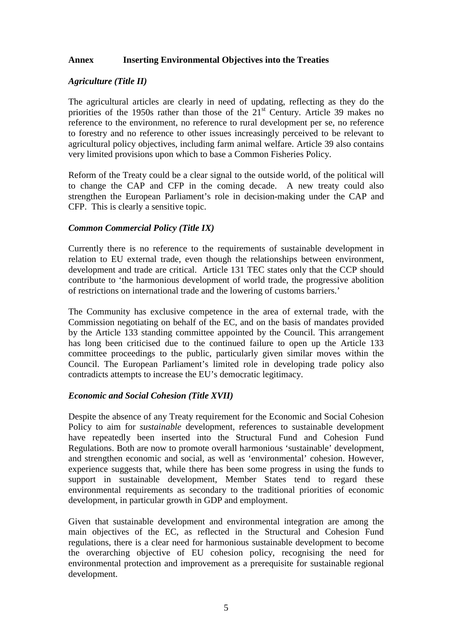#### **Annex Inserting Environmental Objectives into the Treaties**

#### *Agriculture (Title II)*

The agricultural articles are clearly in need of updating, reflecting as they do the priorities of the 1950s rather than those of the  $21<sup>st</sup>$  Century. Article 39 makes no reference to the environment, no reference to rural development per se, no reference to forestry and no reference to other issues increasingly perceived to be relevant to agricultural policy objectives, including farm animal welfare. Article 39 also contains very limited provisions upon which to base a Common Fisheries Policy.

Reform of the Treaty could be a clear signal to the outside world, of the political will to change the CAP and CFP in the coming decade. A new treaty could also strengthen the European Parliament's role in decision-making under the CAP and CFP. This is clearly a sensitive topic.

### *Common Commercial Policy (Title IX)*

Currently there is no reference to the requirements of sustainable development in relation to EU external trade, even though the relationships between environment, development and trade are critical. Article 131 TEC states only that the CCP should contribute to 'the harmonious development of world trade, the progressive abolition of restrictions on international trade and the lowering of customs barriers.'

The Community has exclusive competence in the area of external trade, with the Commission negotiating on behalf of the EC, and on the basis of mandates provided by the Article 133 standing committee appointed by the Council. This arrangement has long been criticised due to the continued failure to open up the Article 133 committee proceedings to the public, particularly given similar moves within the Council. The European Parliament's limited role in developing trade policy also contradicts attempts to increase the EU's democratic legitimacy.

#### *Economic and Social Cohesion (Title XVII)*

Despite the absence of any Treaty requirement for the Economic and Social Cohesion Policy to aim for *sustainable* development, references to sustainable development have repeatedly been inserted into the Structural Fund and Cohesion Fund Regulations. Both are now to promote overall harmonious 'sustainable' development, and strengthen economic and social, as well as 'environmental' cohesion. However, experience suggests that, while there has been some progress in using the funds to support in sustainable development, Member States tend to regard these environmental requirements as secondary to the traditional priorities of economic development, in particular growth in GDP and employment.

Given that sustainable development and environmental integration are among the main objectives of the EC, as reflected in the Structural and Cohesion Fund regulations, there is a clear need for harmonious sustainable development to become the overarching objective of EU cohesion policy, recognising the need for environmental protection and improvement as a prerequisite for sustainable regional development.